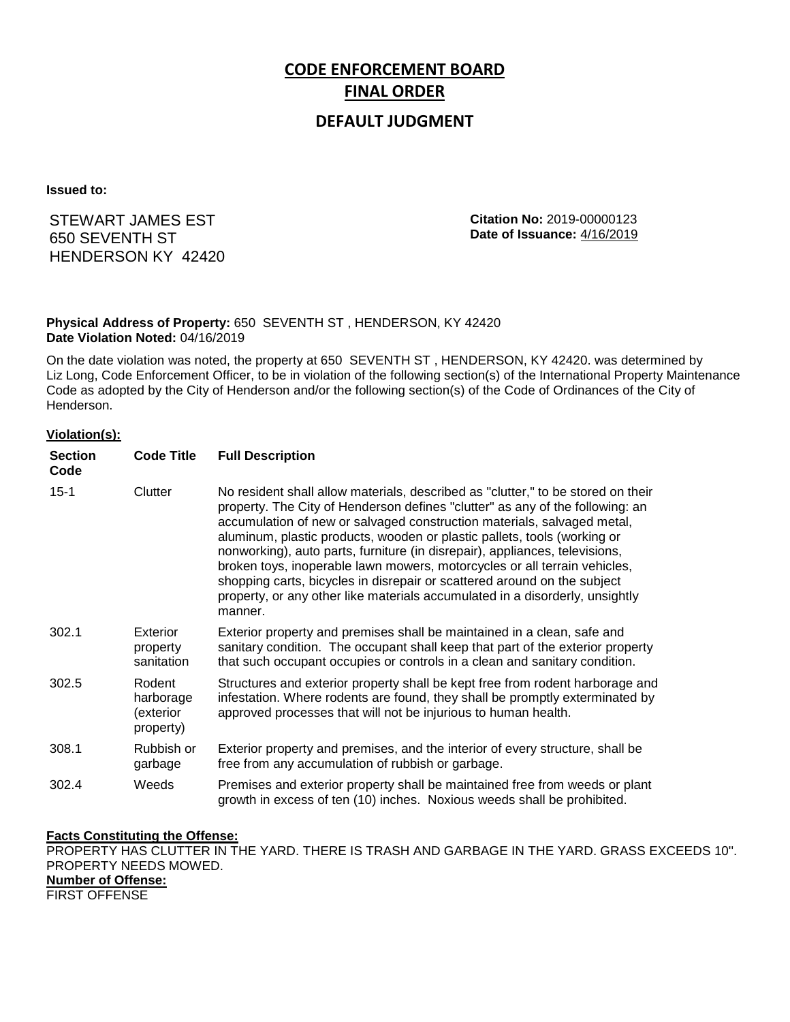# **CODE ENFORCEMENT BOARD FINAL ORDER**

## **DEFAULT JUDGMENT**

**Issued to:**

## STEWART JAMES EST 650 SEVENTH ST HENDERSON KY 42420

**Citation No:** 2019-00000123 **Date of Issuance:** 4/16/2019

### **Physical Address of Property:** 650 SEVENTH ST , HENDERSON, KY 42420 **Date Violation Noted:** 04/16/2019

On the date violation was noted, the property at 650 SEVENTH ST , HENDERSON, KY 42420. was determined by Liz Long, Code Enforcement Officer, to be in violation of the following section(s) of the International Property Maintenance Code as adopted by the City of Henderson and/or the following section(s) of the Code of Ordinances of the City of Henderson.

#### **Violation(s):**

| <b>Section</b><br>Code | <b>Code Title</b>                             | <b>Full Description</b>                                                                                                                                                                                                                                                                                                                                                                                                                                                                                                                                                                                                                                     |
|------------------------|-----------------------------------------------|-------------------------------------------------------------------------------------------------------------------------------------------------------------------------------------------------------------------------------------------------------------------------------------------------------------------------------------------------------------------------------------------------------------------------------------------------------------------------------------------------------------------------------------------------------------------------------------------------------------------------------------------------------------|
| $15 - 1$               | Clutter                                       | No resident shall allow materials, described as "clutter," to be stored on their<br>property. The City of Henderson defines "clutter" as any of the following: an<br>accumulation of new or salvaged construction materials, salvaged metal,<br>aluminum, plastic products, wooden or plastic pallets, tools (working or<br>nonworking), auto parts, furniture (in disrepair), appliances, televisions,<br>broken toys, inoperable lawn mowers, motorcycles or all terrain vehicles,<br>shopping carts, bicycles in disrepair or scattered around on the subject<br>property, or any other like materials accumulated in a disorderly, unsightly<br>manner. |
| 302.1                  | Exterior<br>property<br>sanitation            | Exterior property and premises shall be maintained in a clean, safe and<br>sanitary condition. The occupant shall keep that part of the exterior property<br>that such occupant occupies or controls in a clean and sanitary condition.                                                                                                                                                                                                                                                                                                                                                                                                                     |
| 302.5                  | Rodent<br>harborage<br>(exterior<br>property) | Structures and exterior property shall be kept free from rodent harborage and<br>infestation. Where rodents are found, they shall be promptly exterminated by<br>approved processes that will not be injurious to human health.                                                                                                                                                                                                                                                                                                                                                                                                                             |
| 308.1                  | Rubbish or<br>garbage                         | Exterior property and premises, and the interior of every structure, shall be<br>free from any accumulation of rubbish or garbage.                                                                                                                                                                                                                                                                                                                                                                                                                                                                                                                          |
| 302.4                  | Weeds                                         | Premises and exterior property shall be maintained free from weeds or plant<br>growth in excess of ten (10) inches. Noxious weeds shall be prohibited.                                                                                                                                                                                                                                                                                                                                                                                                                                                                                                      |

#### **Facts Constituting the Offense:**

PROPERTY HAS CLUTTER IN THE YARD. THERE IS TRASH AND GARBAGE IN THE YARD. GRASS EXCEEDS 10''. PROPERTY NEEDS MOWED. **Number of Offense:** FIRST OFFENSE